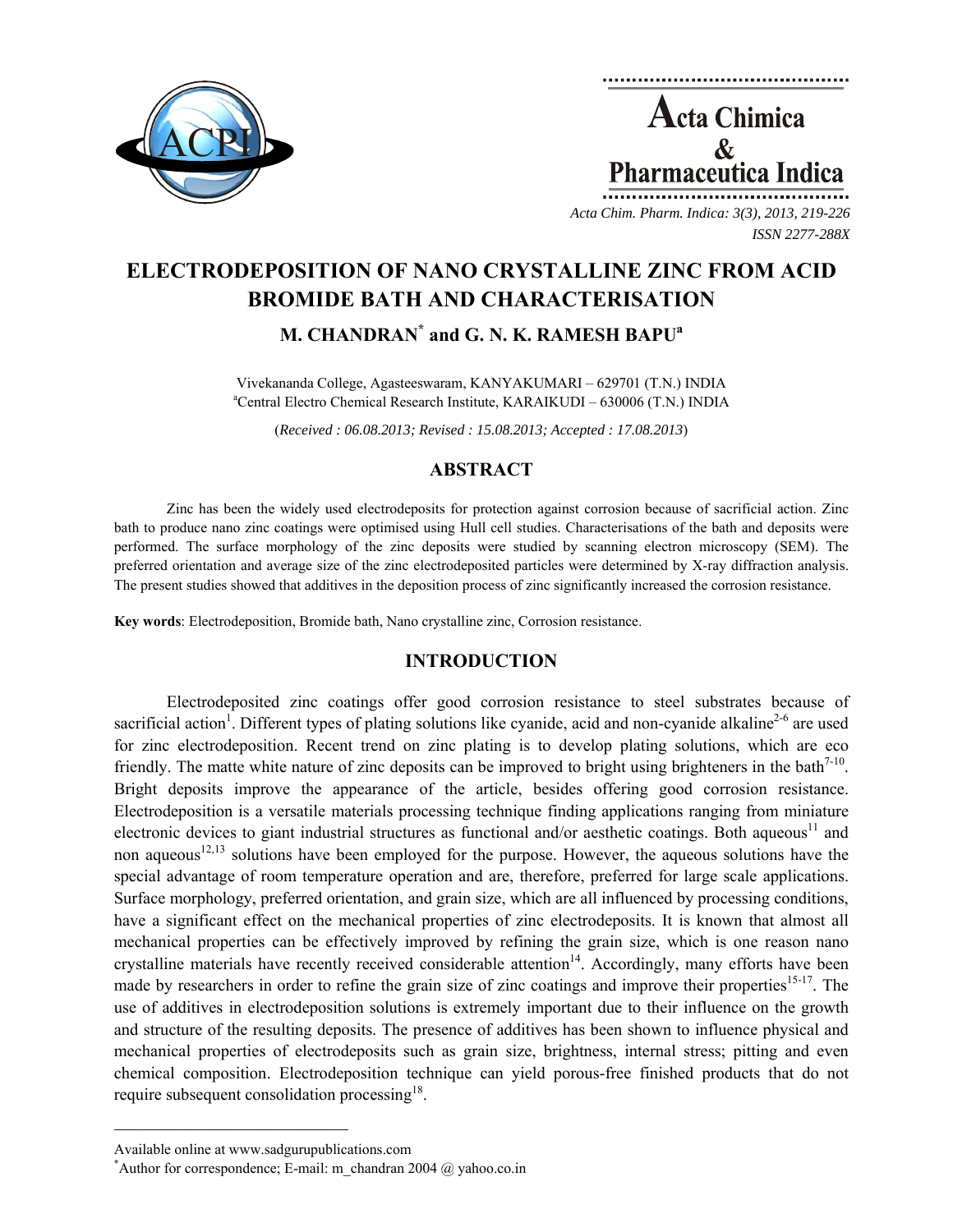

**Acta Chimica**  $\mathcal{R}_{\mathcal{L}}$ **Pharmaceutica Indica** 

*Acta Chim. Pharm. Indica: 3(3), 2013, 219-226 ISSN 2277-288X*

# **ELECTRODEPOSITION OF NANO CRYSTALLINE ZINC FROM ACID BROMIDE BATH AND CHARACTERISATION**

**M. CHANDRAN\* and G. N. K. RAMESH BAPUa**

Vivekananda College, Agasteeswaram, KANYAKUMARI – 629701 (T.N.) INDIA a Central Electro Chemical Research Institute, KARAIKUDI – 630006 (T.N.) INDIA

(*Received : 06.08.2013; Revised : 15.08.2013; Accepted : 17.08.2013*)

# **ABSTRACT**

Zinc has been the widely used electrodeposits for protection against corrosion because of sacrificial action. Zinc bath to produce nano zinc coatings were optimised using Hull cell studies. Characterisations of the bath and deposits were performed. The surface morphology of the zinc deposits were studied by scanning electron microscopy (SEM). The preferred orientation and average size of the zinc electrodeposited particles were determined by X-ray diffraction analysis. The present studies showed that additives in the deposition process of zinc significantly increased the corrosion resistance.

**Key words**: Electrodeposition, Bromide bath, Nano crystalline zinc, Corrosion resistance.

# **INTRODUCTION**

Electrodeposited zinc coatings offer good corrosion resistance to steel substrates because of sacrificial action<sup>1</sup>. Different types of plating solutions like cyanide, acid and non-cyanide alkaline<sup>2-6</sup> are used for zinc electrodeposition. Recent trend on zinc plating is to develop plating solutions, which are eco friendly. The matte white nature of zinc deposits can be improved to bright using brighteners in the bath<sup>7-10</sup>. Bright deposits improve the appearance of the article, besides offering good corrosion resistance. Electrodeposition is a versatile materials processing technique finding applications ranging from miniature electronic devices to giant industrial structures as functional and/or aesthetic coatings. Both aqueous<sup>11</sup> and non aqueous<sup>12,13</sup> solutions have been employed for the purpose. However, the aqueous solutions have the special advantage of room temperature operation and are, therefore, preferred for large scale applications. Surface morphology, preferred orientation, and grain size, which are all influenced by processing conditions, have a significant effect on the mechanical properties of zinc electrodeposits. It is known that almost all mechanical properties can be effectively improved by refining the grain size, which is one reason nano crystalline materials have recently received considerable attention<sup>14</sup>. Accordingly, many efforts have been made by researchers in order to refine the grain size of zinc coatings and improve their properties<sup>15-17</sup>. The use of additives in electrodeposition solutions is extremely important due to their influence on the growth and structure of the resulting deposits. The presence of additives has been shown to influence physical and mechanical properties of electrodeposits such as grain size, brightness, internal stress; pitting and even chemical composition. Electrodeposition technique can yield porous-free finished products that do not require subsequent consolidation processing $^{18}$ .

 $\mathcal{L} = \{ \mathcal{L} \}$ 

Available online at www.sadgurupublications.com \*

Author for correspondence; E-mail: m\_chandran 2004  $\omega$  yahoo.co.in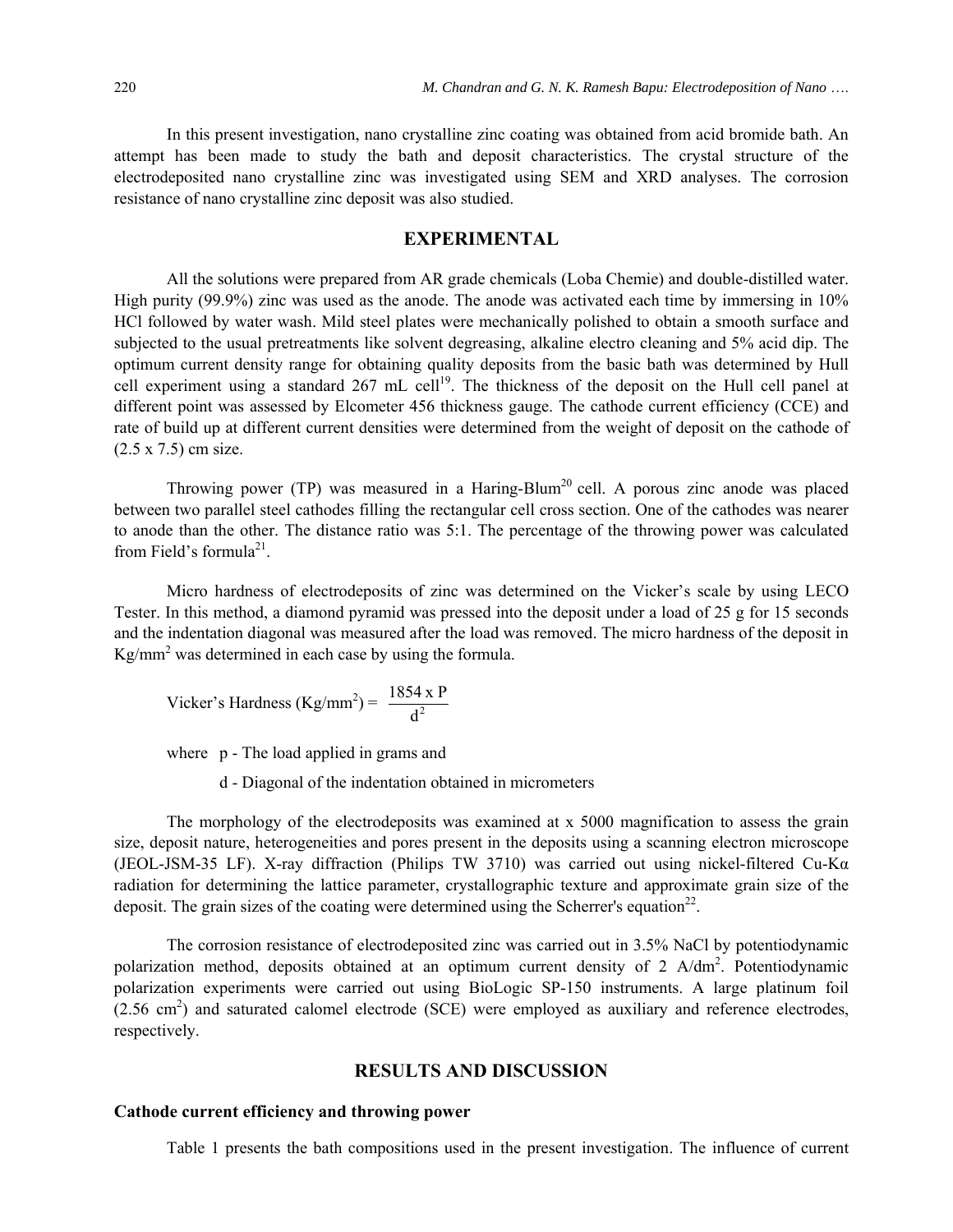In this present investigation, nano crystalline zinc coating was obtained from acid bromide bath. An attempt has been made to study the bath and deposit characteristics. The crystal structure of the electrodeposited nano crystalline zinc was investigated using SEM and XRD analyses. The corrosion resistance of nano crystalline zinc deposit was also studied.

## **EXPERIMENTAL**

All the solutions were prepared from AR grade chemicals (Loba Chemie) and double-distilled water. High purity (99.9%) zinc was used as the anode. The anode was activated each time by immersing in 10% HCl followed by water wash. Mild steel plates were mechanically polished to obtain a smooth surface and subjected to the usual pretreatments like solvent degreasing, alkaline electro cleaning and 5% acid dip. The optimum current density range for obtaining quality deposits from the basic bath was determined by Hull cell experiment using a standard  $267$  mL cell<sup>19</sup>. The thickness of the deposit on the Hull cell panel at different point was assessed by Elcometer 456 thickness gauge. The cathode current efficiency (CCE) and rate of build up at different current densities were determined from the weight of deposit on the cathode of (2.5 x 7.5) cm size.

Throwing power (TP) was measured in a Haring-Blum<sup>20</sup> cell. A porous zinc anode was placed between two parallel steel cathodes filling the rectangular cell cross section. One of the cathodes was nearer to anode than the other. The distance ratio was 5:1. The percentage of the throwing power was calculated from Field's formula<sup>21</sup>

Micro hardness of electrodeposits of zinc was determined on the Vicker's scale by using LECO Tester. In this method, a diamond pyramid was pressed into the deposit under a load of 25 g for 15 seconds and the indentation diagonal was measured after the load was removed. The micro hardness of the deposit in  $Kg/mm^2$  was determined in each case by using the formula.

Vicker's Hardness (Kg/mm<sup>2</sup>) = 
$$
\frac{1854 \times P}{d^2}
$$

where p - The load applied in grams and

d - Diagonal of the indentation obtained in micrometers

The morphology of the electrodeposits was examined at x 5000 magnification to assess the grain size, deposit nature, heterogeneities and pores present in the deposits using a scanning electron microscope (JEOL-JSM-35 LF). X-ray diffraction (Philips TW 3710) was carried out using nickel-filtered Cu-Kα radiation for determining the lattice parameter, crystallographic texture and approximate grain size of the deposit. The grain sizes of the coating were determined using the Scherrer's equation<sup>22</sup>.

The corrosion resistance of electrodeposited zinc was carried out in 3.5% NaCl by potentiodynamic polarization method, deposits obtained at an optimum current density of 2  $A/dm^2$ . Potentiodynamic polarization experiments were carried out using BioLogic SP-150 instruments. A large platinum foil  $(2.56 \text{ cm}^2)$  and saturated calomel electrode (SCE) were employed as auxiliary and reference electrodes, respectively.

#### **RESULTS AND DISCUSSION**

#### **Cathode current efficiency and throwing power**

Table 1 presents the bath compositions used in the present investigation. The influence of current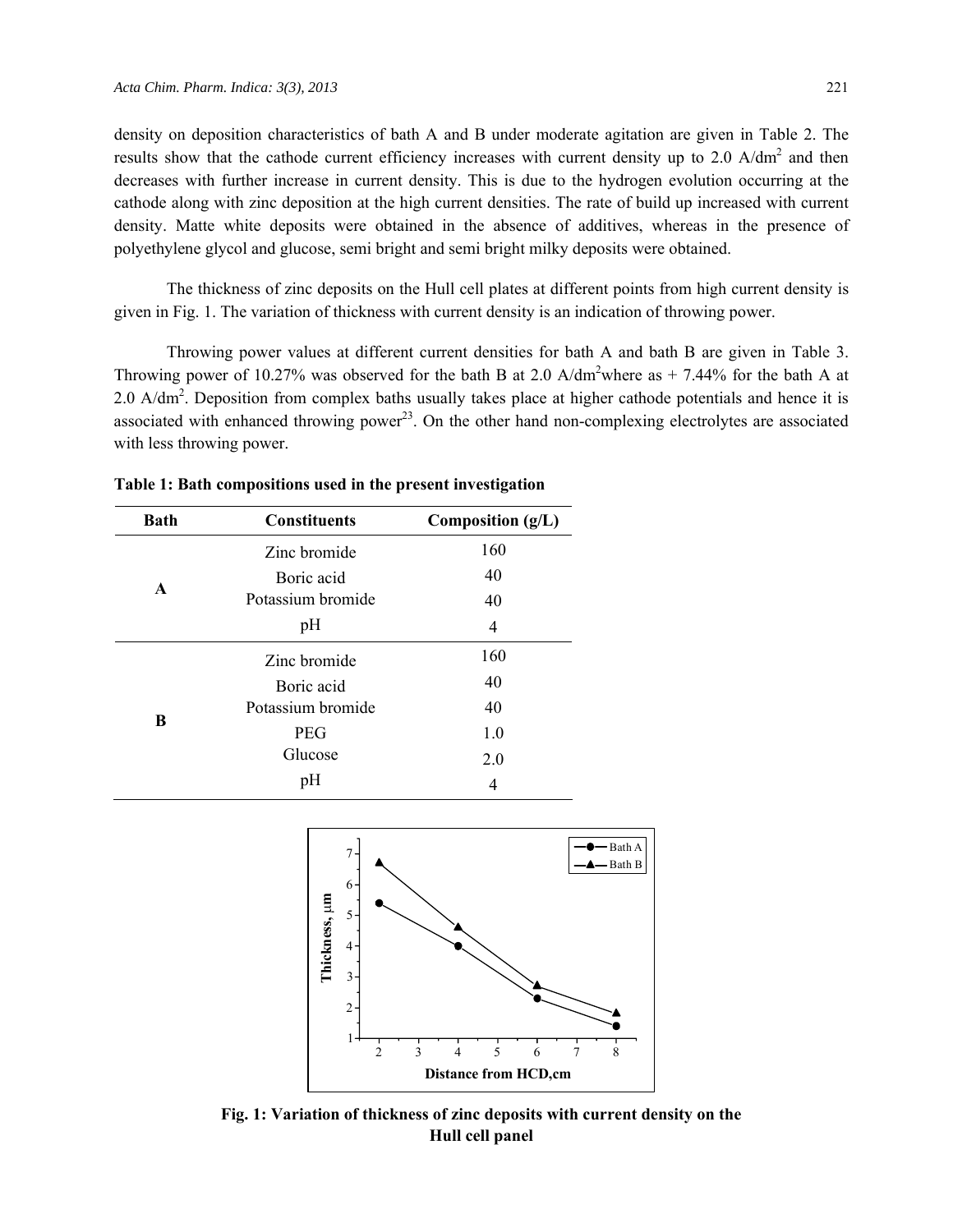density on deposition characteristics of bath A and B under moderate agitation are given in Table 2. The results show that the cathode current efficiency increases with current density up to  $2.0 \text{ A/dm}^2$  and then decreases with further increase in current density. This is due to the hydrogen evolution occurring at the cathode along with zinc deposition at the high current densities. The rate of build up increased with current density. Matte white deposits were obtained in the absence of additives, whereas in the presence of polyethylene glycol and glucose, semi bright and semi bright milky deposits were obtained.

The thickness of zinc deposits on the Hull cell plates at different points from high current density is given in Fig. 1. The variation of thickness with current density is an indication of throwing power.

Throwing power values at different current densities for bath A and bath B are given in Table 3. Throwing power of 10.27% was observed for the bath B at 2.0 A/dm<sup>2</sup>where as  $+ 7.44\%$  for the bath A at 2.0  $A/dm<sup>2</sup>$ . Deposition from complex baths usually takes place at higher cathode potentials and hence it is associated with enhanced throwing power<sup>23</sup>. On the other hand non-complexing electrolytes are associated with less throwing power.

| <b>Bath</b>  | <b>Constituents</b> | Composition (g/L) |
|--------------|---------------------|-------------------|
|              | Zinc bromide        | 160               |
|              | Boric acid          | 40                |
| $\mathbf{A}$ | Potassium bromide   | 40                |
|              | pH                  | 4                 |
|              | Zinc bromide        | 160               |
|              | Boric acid          | 40                |
|              | Potassium bromide   | 40                |
| B            | <b>PEG</b>          | 1.0               |
|              | Glucose             | 2.0               |
|              | pH                  | 4                 |

**Table 1: Bath compositions used in the present investigation** 



**Fig. 1: Variation of thickness of zinc deposits with current density on the Hull cell panel**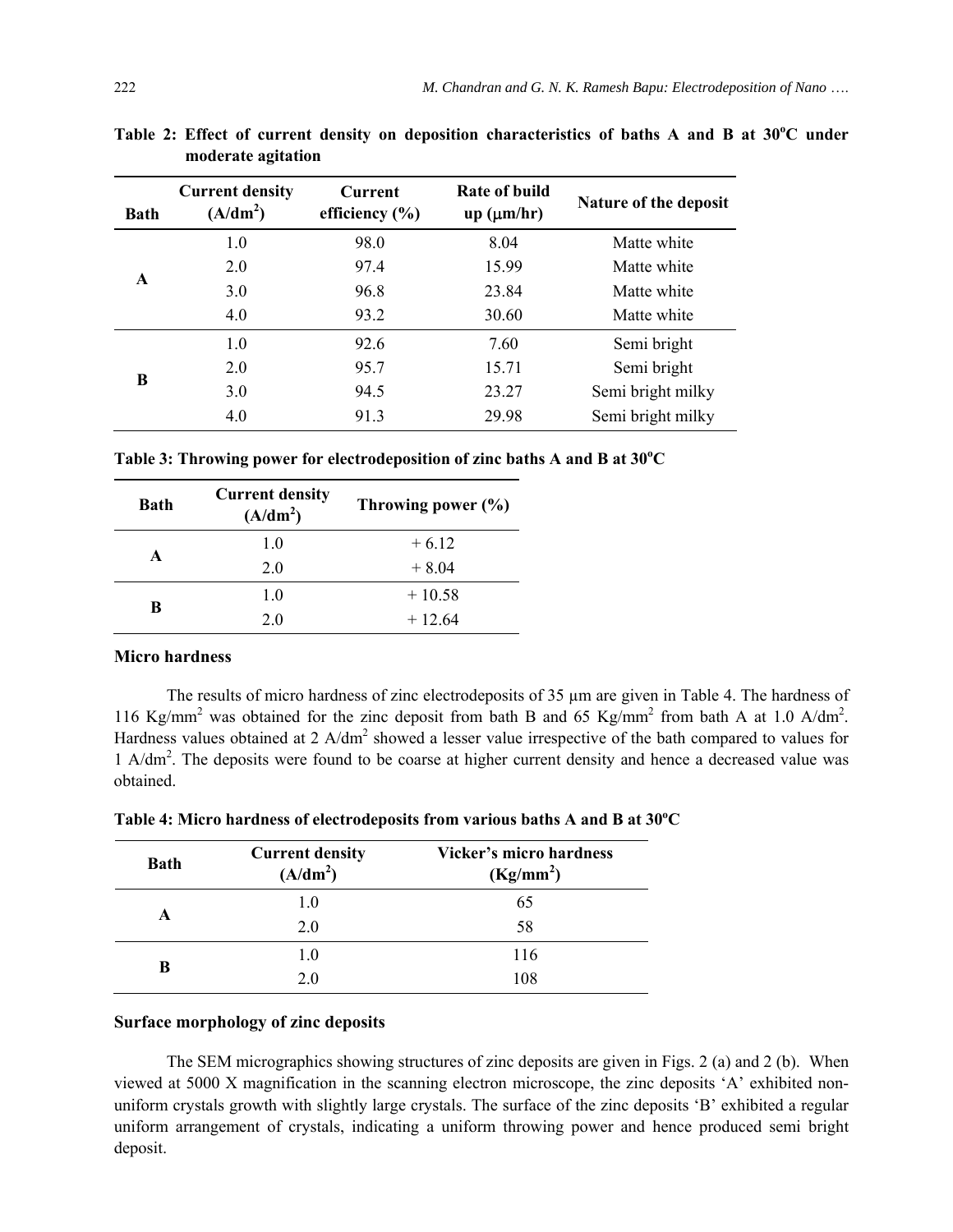| <b>Bath</b> | <b>Current density</b><br>(A/dm <sup>2</sup> ) | <b>Current</b><br>efficiency $(\% )$ | Rate of build<br>up (µm/hr) | <b>Nature of the deposit</b> |
|-------------|------------------------------------------------|--------------------------------------|-----------------------------|------------------------------|
| A           | 1.0                                            | 98.0                                 | 8.04                        | Matte white                  |
|             | 2.0                                            | 97.4                                 | 15.99                       | Matte white                  |
|             | 3.0                                            | 96.8                                 | 23.84                       | Matte white                  |
|             | 4.0                                            | 93.2                                 | 30.60                       | Matte white                  |
| B           | 1.0                                            | 926                                  | 7.60                        | Semi bright                  |
|             | 2.0                                            | 95.7                                 | 15.71                       | Semi bright                  |
|             | 3.0                                            | 94.5                                 | 23.27                       | Semi bright milky            |
|             | 4.0                                            | 91.3                                 | 29.98                       | Semi bright milky            |

Table 2: Effect of current density on deposition characteristics of baths A and B at 30°C under **moderate agitation** 

Table 3: Throwing power for electrodeposition of zinc baths A and B at 30°C

| <b>Bath</b> | <b>Current density</b><br>(A/dm <sup>2</sup> ) | Throwing power $(\% )$ |
|-------------|------------------------------------------------|------------------------|
|             | 1.0                                            | $+6.12$                |
| A           | 20                                             | $+8.04$                |
| B           | 1.0                                            | $+10.58$               |
|             | 2.0                                            | $+12.64$               |

#### **Micro hardness**

The results of micro hardness of zinc electrodeposits of 35  $\mu$ m are given in Table 4. The hardness of 116 Kg/mm<sup>2</sup> was obtained for the zinc deposit from bath B and 65 Kg/mm<sup>2</sup> from bath A at 1.0 A/dm<sup>2</sup>. Hardness values obtained at  $2$  A/dm<sup>2</sup> showed a lesser value irrespective of the bath compared to values for 1 A/dm<sup>2</sup>. The deposits were found to be coarse at higher current density and hence a decreased value was obtained.

| <b>Bath</b> | <b>Current density</b><br>(A/dm <sup>2</sup> ) | <b>Vicker's micro hardness</b><br>(Kg/mm <sup>2</sup> ) |
|-------------|------------------------------------------------|---------------------------------------------------------|
|             | 1.0                                            | 65                                                      |
|             | 2.0                                            | 58                                                      |
| B           | 1.0                                            | 116                                                     |
|             | 20                                             | 108                                                     |

Table 4: Micro hardness of electrodeposits from various baths A and B at 30°C

#### **Surface morphology of zinc deposits**

The SEM micrographics showing structures of zinc deposits are given in Figs. 2 (a) and 2 (b). When viewed at 5000 X magnification in the scanning electron microscope, the zinc deposits 'A' exhibited nonuniform crystals growth with slightly large crystals. The surface of the zinc deposits 'B' exhibited a regular uniform arrangement of crystals, indicating a uniform throwing power and hence produced semi bright deposit.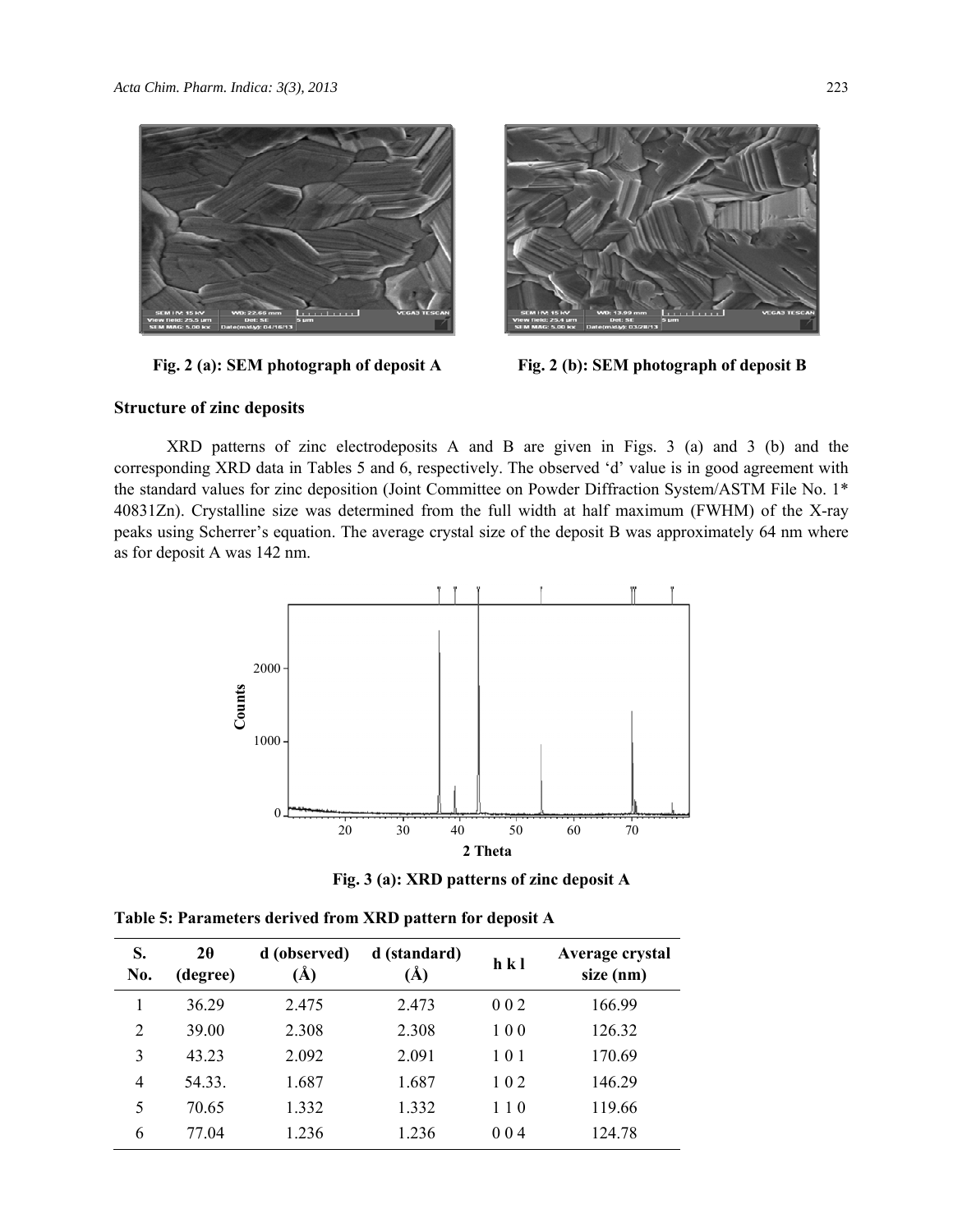



**Fig. 2 (a): SEM photograph of deposit A Fig. 2 (b): SEM photograph of deposit B**

## **Structure of zinc deposits**

XRD patterns of zinc electrodeposits A and B are given in Figs. 3 (a) and 3 (b) and the corresponding XRD data in Tables 5 and 6, respectively. The observed 'd' value is in good agreement with the standard values for zinc deposition (Joint Committee on Powder Diffraction System/ASTM File No. 1\* 40831Zn). Crystalline size was determined from the full width at half maximum (FWHM) of the X-ray peaks using Scherrer's equation. The average crystal size of the deposit B was approximately 64 nm where as for deposit A was 142 nm.



**Fig. 3 (a): XRD patterns of zinc deposit A** 

| S.<br>No.      | $2\theta$<br>(degree) | d (observed)<br>$\rm(\AA)$ | d (standard)<br>(Å) | h k l | Average crystal<br>size (nm) |
|----------------|-----------------------|----------------------------|---------------------|-------|------------------------------|
|                | 36.29                 | 2.475                      | 2.473               | 002   | 166.99                       |
| $\overline{2}$ | 39.00                 | 2.308                      | 2.308               | 100   | 126.32                       |
| 3              | 43.23                 | 2.092                      | 2.091               | 101   | 170.69                       |
| 4              | 54.33.                | 1.687                      | 1.687               | 102   | 146.29                       |
| 5              | 70.65                 | 1.332                      | 1.332               | 110   | 119.66                       |
| 6              | 77.04                 | 1.236                      | 1.236               | 004   | 124.78                       |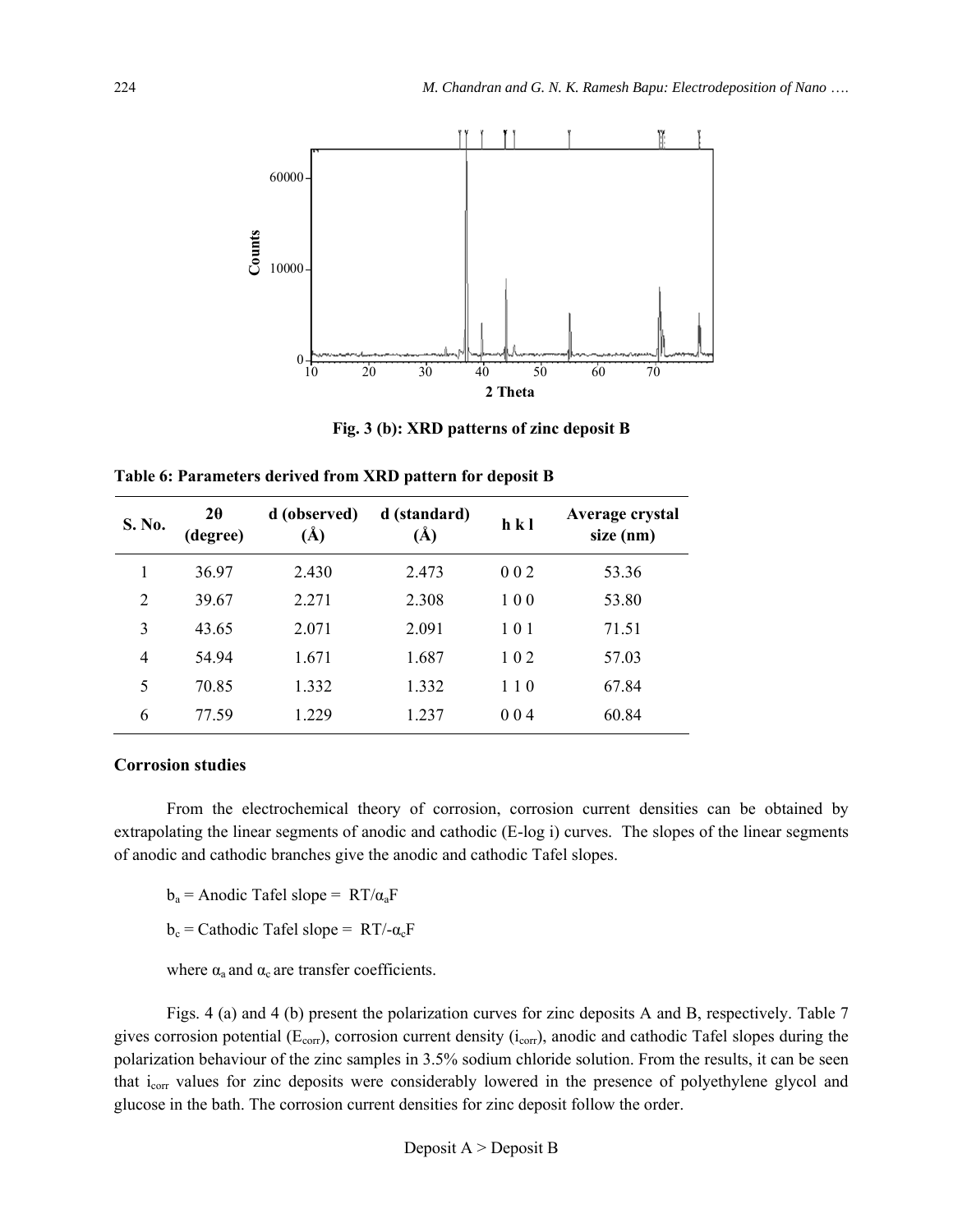

**Fig. 3 (b): XRD patterns of zinc deposit B** 

**Table 6: Parameters derived from XRD pattern for deposit B** 

| S. No.         | $2\theta$<br>(degree) | d (observed)<br>(Å) | d (standard)<br>(Å) | h k l | Average crystal<br>size (nm) |
|----------------|-----------------------|---------------------|---------------------|-------|------------------------------|
| 1              | 36.97                 | 2.430               | 2.473               | 002   | 53.36                        |
| $\overline{2}$ | 39.67                 | 2.271               | 2.308               | 100   | 53.80                        |
| 3              | 43.65                 | 2.071               | 2.091               | 101   | 71.51                        |
| $\overline{4}$ | 54.94                 | 1.671               | 1.687               | 102   | 57.03                        |
| 5              | 70.85                 | 1.332               | 1.332               | 110   | 67.84                        |
| 6              | 77.59                 | 1.229               | 1.237               | 004   | 60.84                        |

## **Corrosion studies**

From the electrochemical theory of corrosion, corrosion current densities can be obtained by extrapolating the linear segments of anodic and cathodic (E-log i) curves. The slopes of the linear segments of anodic and cathodic branches give the anodic and cathodic Tafel slopes.

 $b_a$  = Anodic Tafel slope = RT/ $\alpha_a$ F

b<sub>c</sub> = Cathodic Tafel slope =  $RT/-\alpha_cF$ 

where  $\alpha_a$  and  $\alpha_c$  are transfer coefficients.

Figs. 4 (a) and 4 (b) present the polarization curves for zinc deposits A and B, respectively. Table 7 gives corrosion potential ( $E_{corr}$ ), corrosion current density ( $i_{corr}$ ), anodic and cathodic Tafel slopes during the polarization behaviour of the zinc samples in 3.5% sodium chloride solution. From the results, it can be seen that i<sub>corr</sub> values for zinc deposits were considerably lowered in the presence of polyethylene glycol and glucose in the bath. The corrosion current densities for zinc deposit follow the order.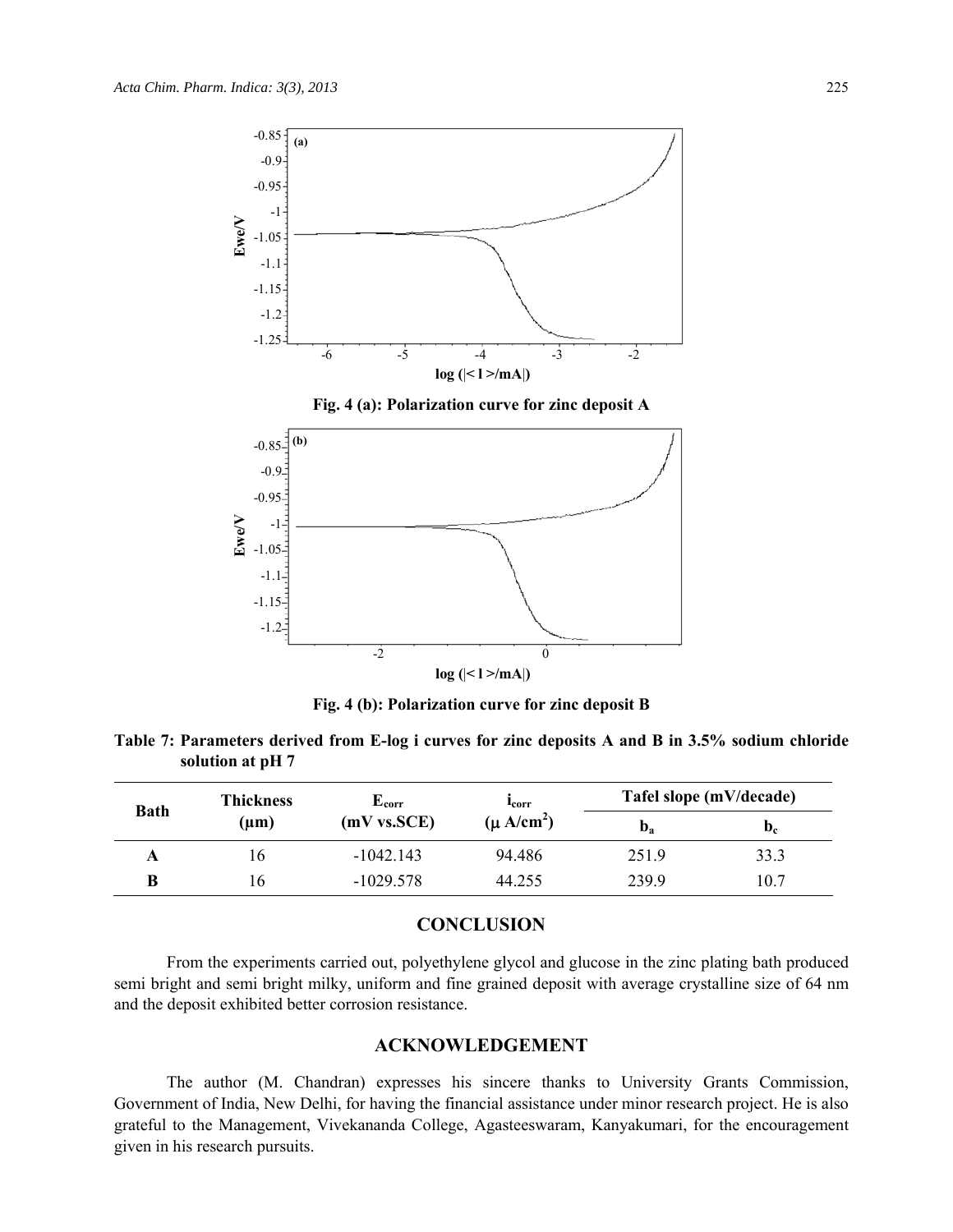

**Fig. 4 (b): Polarization curve for zinc deposit B** 

**Table 7: Parameters derived from E-log i curves for zinc deposits A and B in 3.5% sodium chloride solution at pH 7** 

| <b>Bath</b> | <b>Thickness</b><br>(µm) | ${\bf E_{corr}}$<br>(mV vs. SCE) | <b>L</b> corr<br>$(\mu A/cm^2)$ | Tafel slope (mV/decade)   |                           |
|-------------|--------------------------|----------------------------------|---------------------------------|---------------------------|---------------------------|
|             |                          |                                  |                                 | $\mathbf{D}_{\mathbf{a}}$ | $\mathbf{D}_{\mathbf{C}}$ |
|             | 1b.                      | $-1042.143$                      | 94.486                          | 251.9                     | 33.3                      |
| B           | l b                      | $-1029.578$                      | 44.255                          | 239.9                     | 10.7                      |

# **CONCLUSION**

From the experiments carried out, polyethylene glycol and glucose in the zinc plating bath produced semi bright and semi bright milky, uniform and fine grained deposit with average crystalline size of 64 nm and the deposit exhibited better corrosion resistance.

## **ACKNOWLEDGEMENT**

The author (M. Chandran) expresses his sincere thanks to University Grants Commission, Government of India, New Delhi, for having the financial assistance under minor research project. He is also grateful to the Management, Vivekananda College, Agasteeswaram, Kanyakumari, for the encouragement given in his research pursuits.